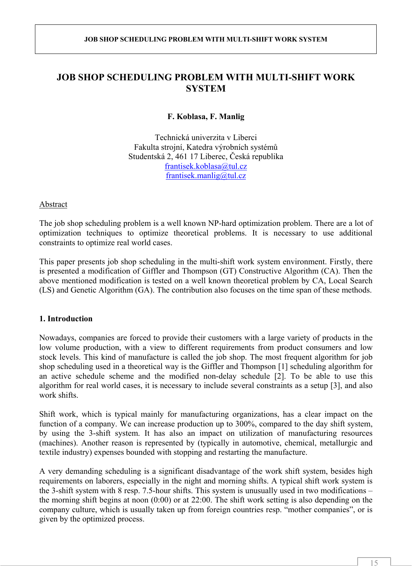# **JOB SHOP SCHEDULING PROBLEM WITH MULTI-SHIFT WORK SYSTEM**

## **F. Koblasa, F. Manlig**

Technická univerzita v Liberci Fakulta strojní, Katedra výrobních systémů Studentská 2, 461 17 Liberec, Česká republika frantisek.koblasa@tul.cz frantisek.manlig@tul.cz

Abstract

The job shop scheduling problem is a well known NP-hard optimization problem. There are a lot of optimization techniques to optimize theoretical problems. It is necessary to use additional constraints to optimize real world cases.

This paper presents job shop scheduling in the multi-shift work system environment. Firstly, there is presented a modification of Giffler and Thompson (GT) Constructive Algorithm (CA). Then the above mentioned modification is tested on a well known theoretical problem by CA, Local Search (LS) and Genetic Algorithm (GA). The contribution also focuses on the time span of these methods.

## **1. Introduction**

Nowadays, companies are forced to provide their customers with a large variety of products in the low volume production, with a view to different requirements from product consumers and low stock levels. This kind of manufacture is called the job shop. The most frequent algorithm for job shop scheduling used in a theoretical way is the Giffler and Thompson [1] scheduling algorithm for an active schedule scheme and the modified non-delay schedule [2]. To be able to use this algorithm for real world cases, it is necessary to include several constraints as a setup [3], and also work shifts.

Shift work, which is typical mainly for manufacturing organizations, has a clear impact on the function of a company. We can increase production up to 300%, compared to the day shift system, by using the 3-shift system. It has also an impact on utilization of manufacturing resources (machines). Another reason is represented by (typically in automotive, chemical, metallurgic and textile industry) expenses bounded with stopping and restarting the manufacture.

A very demanding scheduling is a significant disadvantage of the work shift system, besides high requirements on laborers, especially in the night and morning shifts. A typical shift work system is the 3-shift system with 8 resp. 7.5-hour shifts. This system is unusually used in two modifications – the morning shift begins at noon (0:00) or at 22:00. The shift work setting is also depending on the company culture, which is usually taken up from foreign countries resp. "mother companies", or is given by the optimized process.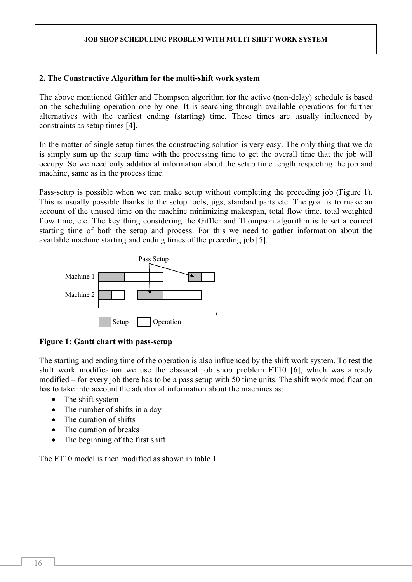## **2. The Constructive Algorithm for the multi-shift work system**

The above mentioned Giffler and Thompson algorithm for the active (non-delay) schedule is based on the scheduling operation one by one. It is searching through available operations for further alternatives with the earliest ending (starting) time. These times are usually influenced by constraints as setup times [4].

In the matter of single setup times the constructing solution is very easy. The only thing that we do is simply sum up the setup time with the processing time to get the overall time that the job will occupy. So we need only additional information about the setup time length respecting the job and machine, same as in the process time.

Pass-setup is possible when we can make setup without completing the preceding job (Figure 1). This is usually possible thanks to the setup tools, jigs, standard parts etc. The goal is to make an account of the unused time on the machine minimizing makespan, total flow time, total weighted flow time, etc. The key thing considering the Giffler and Thompson algorithm is to set a correct starting time of both the setup and process. For this we need to gather information about the available machine starting and ending times of the preceding job [5].



#### **Figure 1: Gantt chart with pass-setup**

The starting and ending time of the operation is also influenced by the shift work system. To test the shift work modification we use the classical job shop problem FT10 [6], which was already modified – for every job there has to be a pass setup with 50 time units. The shift work modification has to take into account the additional information about the machines as:

- The shift system
- The number of shifts in a day
- The duration of shifts
- The duration of breaks
- The beginning of the first shift

The FT10 model is then modified as shown in table 1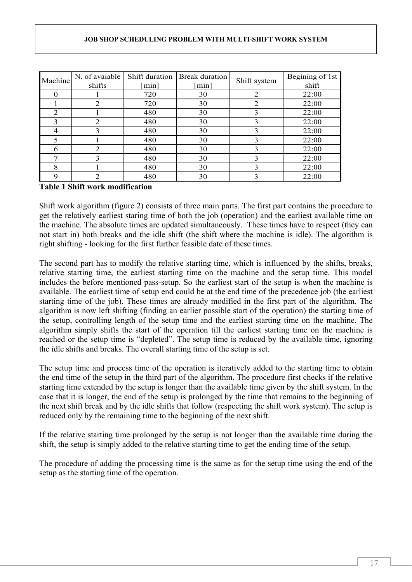| Machine | N. of avaiable | Shift duration | Break duration       | Shift system | Begining of 1st |
|---------|----------------|----------------|----------------------|--------------|-----------------|
|         | shifts         | min            | $\lceil \min \rceil$ |              | shift           |
|         |                | 720            | 30                   | 2            | 22:00           |
|         | 2              | 720            | 30                   | 2            | 22:00           |
| 2       |                | 480            | 30                   | 3            | 22:00           |
| 3       | $\overline{2}$ | 480            | 30                   | 3            | 22:00           |
| 4       | 3              | 480            | 30                   | 3            | 22:00           |
|         |                | 480            | 30                   | 3            | 22:00           |
| 6       | 2              | 480            | 30                   | 3            | 22:00           |
| 7       | 3              | 480            | 30                   | 3            | 22:00           |
| 8       |                | 480            | 30                   | 3            | 22:00           |
| 9       | $\overline{2}$ | 480            | 30                   | 3            | 22:00           |

## **Table 1 Shift work modification**

Shift work algorithm (figure 2) consists of three main parts. The first part contains the procedure to get the relatively earliest staring time of both the job (operation) and the earliest available time on the machine. The absolute times are updated simultaneously. These times have to respect (they can not start in) both breaks and the idle shift (the shift where the machine is idle). The algorithm is right shifting - looking for the first further feasible date of these times.

The second part has to modify the relative starting time, which is influenced by the shifts, breaks, relative starting time, the earliest starting time on the machine and the setup time. This model includes the before mentioned pass-setup. So the earliest start of the setup is when the machine is available. The earliest time of setup end could be at the end time of the precedence job (the earliest starting time of the job). These times are already modified in the first part of the algorithm. The algorithm is now left shifting (finding an earlier possible start of the operation) the starting time of the setup, controlling length of the setup time and the earliest starting time on the machine. The algorithm simply shifts the start of the operation till the earliest starting time on the machine is reached or the setup time is "depleted". The setup time is reduced by the available time, ignoring the idle shifts and breaks. The overall starting time of the setup is set.

The setup time and process time of the operation is iteratively added to the starting time to obtain the end time of the setup in the third part of the algorithm. The procedure first checks if the relative starting time extended by the setup is longer than the available time given by the shift system. In the case that it is longer, the end of the setup is prolonged by the time that remains to the beginning of the next shift break and by the idle shifts that follow (respecting the shift work system). The setup is reduced only by the remaining time to the beginning of the next shift.

If the relative starting time prolonged by the setup is not longer than the available time during the shift, the setup is simply added to the relative starting time to get the ending time of the setup.

The procedure of adding the processing time is the same as for the setup time using the end of the setup as the starting time of the operation.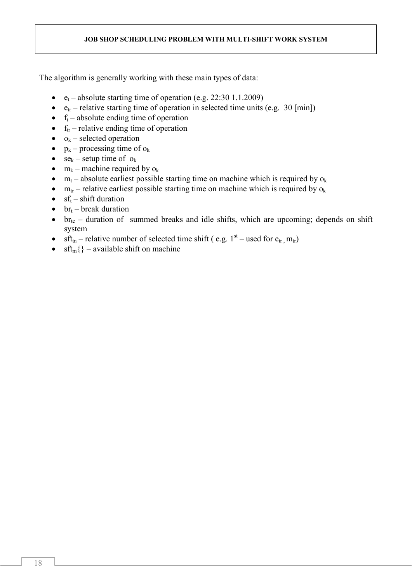The algorithm is generally working with these main types of data:

- $e_t$  absolute starting time of operation (e.g. 22:30 1.1.2009)
- $e_{tr}$  relative starting time of operation in selected time units (e.g. 30 [min])
- $\bullet$  f<sub>t</sub> absolute ending time of operation
- $\bullet$  f<sub>tr</sub> relative ending time of operation
- $o_k$  selected operation
- $\bullet$  p<sub>k</sub> processing time of  $o_k$
- $se_k$  setup time of  $o_k$
- $\bullet$  m<sub>k</sub> machine required by  $o_k$
- $m_t$  absolute earliest possible starting time on machine which is required by  $o_k$
- $m_{tr}$  relative earliest possible starting time on machine which is required by  $o_k$
- $\bullet$  sf<sub>t</sub> shift duration
- $br_t$  break duration
- $\bullet$  br<sub>te</sub> duration of summed breaks and idle shifts, which are upcoming; depends on shift system
- $\text{sf}_{\text{tn}}$  relative number of selected time shift ( e.g. 1<sup>st</sup> used for e<sub>tr , m<sub>tr</sub>)</sub>
- $\text{sft}_{\text{m}}\{\}$  available shift on machine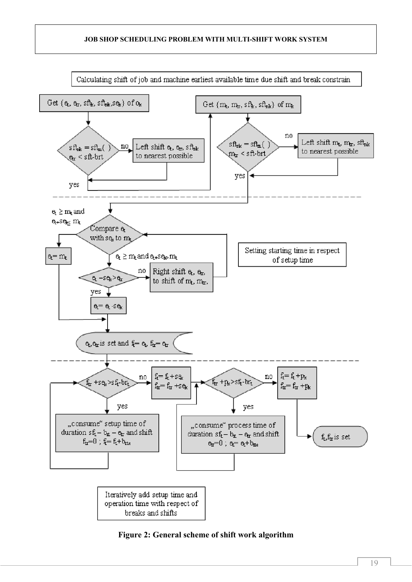

**Figure 2: General scheme of shift work algorithm**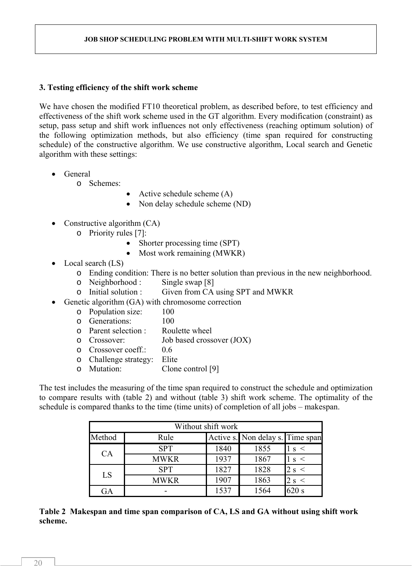## **3. Testing efficiency of the shift work scheme**

We have chosen the modified FT10 theoretical problem, as described before, to test efficiency and effectiveness of the shift work scheme used in the GT algorithm. Every modification (constraint) as setup, pass setup and shift work influences not only effectiveness (reaching optimum solution) of the following optimization methods, but also efficiency (time span required for constructing schedule) of the constructive algorithm. We use constructive algorithm, Local search and Genetic algorithm with these settings:

General

o Schemes:

- Active schedule scheme  $(A)$
- Non delay schedule scheme (ND)
- Constructive algorithm  $(CA)$ 
	- o Priority rules [7]:
		- Shorter processing time (SPT)
		- $\bullet$  Most work remaining (MWKR)
- Local search (LS)
	- o Ending condition: There is no better solution than previous in the new neighborhood.
	- o Neighborhood : Single swap [8]
	- o Initial solution : Given from CA using SPT and MWKR
	- Genetic algorithm (GA) with chromosome correction
		- o Population size: 100
		- o Generations: 100
		- o Parent selection : Roulette wheel
		- o Crossover: Job based crossover (JOX)
		- o Crossover coeff.: 0.6
		- o Challenge strategy: Elite
		- o Mutation: Clone control [9]

The test includes the measuring of the time span required to construct the schedule and optimization to compare results with (table 2) and without (table 3) shift work scheme. The optimality of the schedule is compared thanks to the time (time units) of completion of all jobs – makespan.

| Without shift work |             |      |                                  |                |  |  |  |  |
|--------------------|-------------|------|----------------------------------|----------------|--|--|--|--|
| Method             | Rule        |      | Active s. Non delay s. Time span |                |  |  |  |  |
| CA                 | <b>SPT</b>  | 1840 | 1855                             | s <            |  |  |  |  |
|                    | <b>MWKR</b> | 1937 | 1867                             | $\prec$<br>S.  |  |  |  |  |
| LS                 | <b>SPT</b>  | 1827 | 1828                             | 2 s<br>$\prec$ |  |  |  |  |
|                    | <b>MWKR</b> | 1907 | 1863                             | 2s             |  |  |  |  |
| GA                 |             | 1537 | 1564                             | 620 s          |  |  |  |  |

**Table 2 Makespan and time span comparison of CA, LS and GA without using shift work scheme.**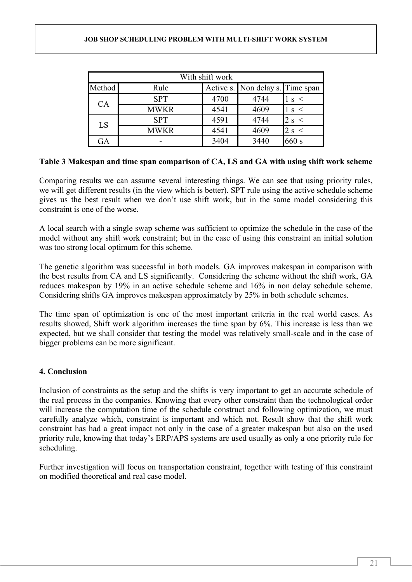| With shift work |             |      |                                  |                         |  |  |  |
|-----------------|-------------|------|----------------------------------|-------------------------|--|--|--|
| Method          | Rule        |      | Active s. Non delay s. Time span |                         |  |  |  |
| CA              | <b>SPT</b>  | 4700 | 4744                             | $\prec$<br>S            |  |  |  |
|                 | <b>MWKR</b> | 4541 | 4609                             | $\,<\,$<br><sup>S</sup> |  |  |  |
| LS              | <b>SPT</b>  | 4591 | 4744                             | 2 s <                   |  |  |  |
|                 | <b>MWKR</b> | 4541 | 4609                             | 2s<br>$\prec$           |  |  |  |
| GA              |             | 3404 | 3440                             | 660 s                   |  |  |  |

## **Table 3 Makespan and time span comparison of CA, LS and GA with using shift work scheme**

Comparing results we can assume several interesting things. We can see that using priority rules, we will get different results (in the view which is better). SPT rule using the active schedule scheme gives us the best result when we don't use shift work, but in the same model considering this constraint is one of the worse.

A local search with a single swap scheme was sufficient to optimize the schedule in the case of the model without any shift work constraint; but in the case of using this constraint an initial solution was too strong local optimum for this scheme.

The genetic algorithm was successful in both models. GA improves makespan in comparison with the best results from CA and LS significantly. Considering the scheme without the shift work, GA reduces makespan by 19% in an active schedule scheme and 16% in non delay schedule scheme. Considering shifts GA improves makespan approximately by 25% in both schedule schemes.

The time span of optimization is one of the most important criteria in the real world cases. As results showed, Shift work algorithm increases the time span by 6%. This increase is less than we expected, but we shall consider that testing the model was relatively small-scale and in the case of bigger problems can be more significant.

## **4. Conclusion**

Inclusion of constraints as the setup and the shifts is very important to get an accurate schedule of the real process in the companies. Knowing that every other constraint than the technological order will increase the computation time of the schedule construct and following optimization, we must carefully analyze which, constraint is important and which not. Result show that the shift work constraint has had a great impact not only in the case of a greater makespan but also on the used priority rule, knowing that today's ERP/APS systems are used usually as only a one priority rule for scheduling.

Further investigation will focus on transportation constraint, together with testing of this constraint on modified theoretical and real case model.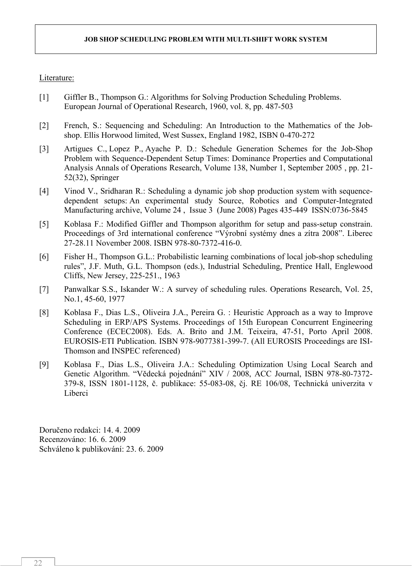### Literature:

- [1] Giffler B., Thompson G.: Algorithms for Solving Production Scheduling Problems. European Journal of Operational Research, 1960, vol. 8, pp. 487-503
- [2] French, S.: Sequencing and Scheduling: An Introduction to the Mathematics of the Jobshop. Ellis Horwood limited, West Sussex, England 1982, ISBN 0-470-272
- [3] Artigues C., Lopez P., Ayache P. D.: Schedule Generation Schemes for the Job-Shop Problem with Sequence-Dependent Setup Times: Dominance Properties and Computational Analysis Annals of Operations Research, Volume 138, Number 1, September 2005 , pp. 21- 52(32), Springer
- [4] Vinod V., Sridharan R.: Scheduling a dynamic job shop production system with sequencedependent setups: An experimental study Source, Robotics and Computer-Integrated Manufacturing archive, Volume 24 , Issue 3 (June 2008) Pages 435-449 ISSN:0736-5845
- [5] Koblasa F.: Modified Giffler and Thompson algorithm for setup and pass-setup constrain. Proceedings of 3rd international conference "Výrobní systémy dnes a zítra 2008". Liberec 27-28.11 November 2008. ISBN 978-80-7372-416-0.
- [6] Fisher H., Thompson G.L.: Probabilistic learning combinations of local job-shop scheduling rules", J.F. Muth, G.L. Thompson (eds.), Industrial Scheduling, Prentice Hall, Englewood Cliffs, New Jersey, 225-251., 1963
- [7] Panwalkar S.S., Iskander W.: A survey of scheduling rules. Operations Research, Vol. 25, No.1, 45-60, 1977
- [8] Koblasa F., Dias L.S., Oliveira J.A., Pereira G. : Heuristic Approach as a way to Improve Scheduling in ERP/APS Systems. Proceedings of 15th European Concurrent Engineering Conference (ECEC2008). Eds. A. Brito and J.M. Teixeira, 47-51, Porto April 2008. EUROSIS-ETI Publication. ISBN 978-9077381-399-7. (All EUROSIS Proceedings are ISI-Thomson and INSPEC referenced)
- [9] Koblasa F., Dias L.S., Oliveira J.A.: Scheduling Optimization Using Local Search and Genetic Algorithm. "Vědecká pojednání" XIV / 2008, ACC Journal, ISBN 978-80-7372- 379-8, ISSN 1801-1128, č. publikace: 55-083-08, čj. RE 106/08, Technická univerzita v Liberci

Doručeno redakci: 14. 4. 2009 Recenzováno: 16. 6. 2009 Schváleno k publikování: 23. 6. 2009